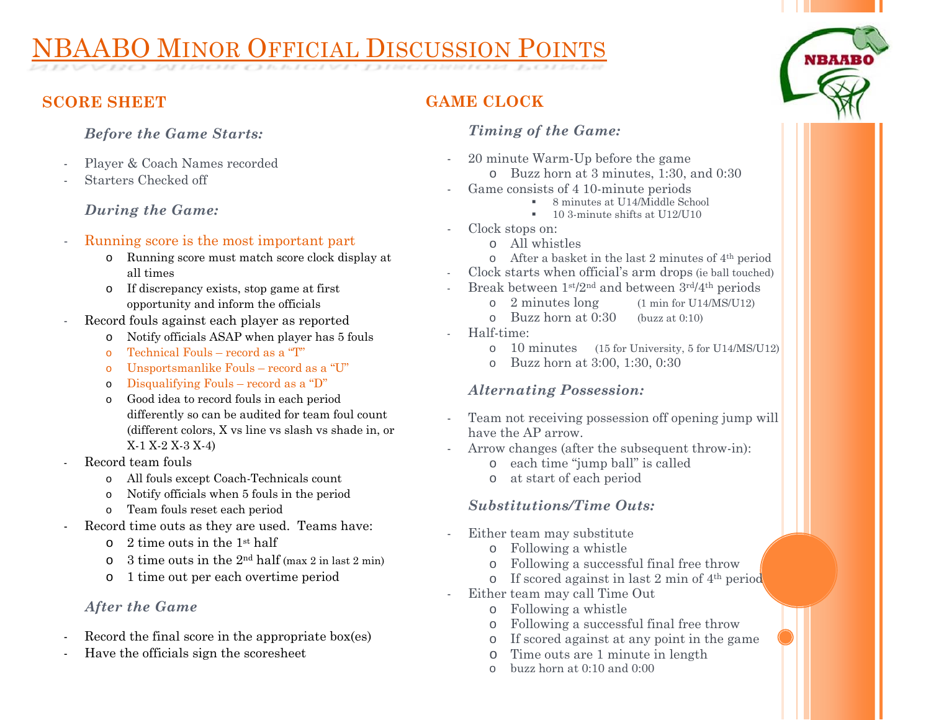# NBAABO MINOR OFFICIAL DISCUSSION POINTS

**SCORE SHEET** 

#### *Before the Game Starts:*

- Player & Coach Names recorded
- Starters Checked off

#### *During the Game:*

- Running score is the most important part
	- o Running score must match score clock display at all times
	- o If discrepancy exists, stop game at first opportunity and inform the officials
- Record fouls against each player as reported
	- oNotify officials ASAP when player has 5 fouls
	- oTechnical Fouls – record as a "T"
	- oUnsportsmanlike Fouls – record as a "U"
	- oDisqualifying Fouls – record as a "D"
	- o Good idea to record fouls in each period differently so can be audited for team foul count (different colors, X vs line vs slash vs shade in, or X-1 X-2 X-3 X-4)
- Record team fouls
	- o All fouls except Coach-Technicals count
	- oNotify officials when 5 fouls in the period
	- oTeam fouls reset each period
- Record time outs as they are used. Teams have:
	- o2 time outs in the 1st half
	- o3 time outs in the 2nd half (max 2 in last 2 min)
	- o1 time out per each overtime period

### *After the Game*

- Record the final score in the appropriate box(es)
- Have the officials sign the scoresheet

# **GAME CLOCK**

-

-

-

#### *Timing of the Game:*

- 20 minute Warm-Up before the game
	- o Buzz horn at 3 minutes, 1:30, and 0:30
- Game consists of 4 10-minute periods
	- 8 minutes at U14/Middle School
	- **10 3-minute shifts at U12/U10**
- Clock stops on:
	- o All whistles
	- o After a basket in the last 2 minutes of 4th period
- Clock starts when official's arm drops (ie ball touched)
- Break between 1st/2nd and between 3rd/4th periods
	- o 2 minutes long (1 min for U14/MS/U12)
	- o Buzz horn at 0:30 (buzz at 0:10)
	- Half-time:
		- o10 minutes (15 for University, 5 for U14/MS/U12)
		- o Buzz horn at 3:00, 1:30, 0:30

### *Alternating Possession:*

- Team not receiving possession off opening jump will have the AP arrow.
- Arrow changes (after the subsequent throw-in):
	- o each time "jump ball" is called
	- o at start of each period

### *Substitutions/Time Outs:*

- Either team may substitute
	- o Following a whistle
	- oFollowing a successful final free throw
	- o If scored against in last 2 min of  $4<sup>th</sup>$  period
- Either team may call Time Out
	- o Following a whistle
	- o Following a successful final free throw
	- o If scored against at any point in the game
	- oTime outs are 1 minute in length
	- obuzz horn at 0:10 and 0:00